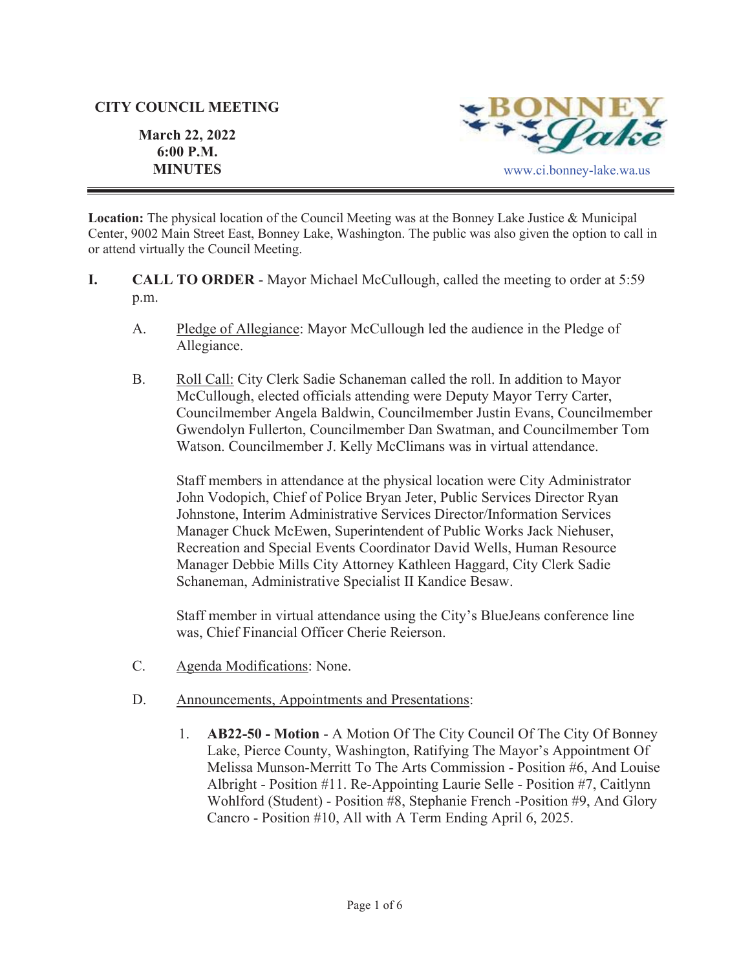#### **CITY COUNCIL MEETING**

**March 22, 2022 6:00 P.M.**



**Location:** The physical location of the Council Meeting was at the Bonney Lake Justice & Municipal Center, 9002 Main Street East, Bonney Lake, Washington. The public was also given the option to call in or attend virtually the Council Meeting.

- **I. CALL TO ORDER**  Mayor Michael McCullough, called the meeting to order at 5:59 p.m.
	- A. Pledge of Allegiance: Mayor McCullough led the audience in the Pledge of Allegiance.
	- B. Roll Call: City Clerk Sadie Schaneman called the roll. In addition to Mayor McCullough, elected officials attending were Deputy Mayor Terry Carter, Councilmember Angela Baldwin, Councilmember Justin Evans, Councilmember Gwendolyn Fullerton, Councilmember Dan Swatman, and Councilmember Tom Watson. Councilmember J. Kelly McClimans was in virtual attendance.

Staff members in attendance at the physical location were City Administrator John Vodopich, Chief of Police Bryan Jeter, Public Services Director Ryan Johnstone, Interim Administrative Services Director/Information Services Manager Chuck McEwen, Superintendent of Public Works Jack Niehuser, Recreation and Special Events Coordinator David Wells, Human Resource Manager Debbie Mills City Attorney Kathleen Haggard, City Clerk Sadie Schaneman, Administrative Specialist II Kandice Besaw.

Staff member in virtual attendance using the City's BlueJeans conference line was, Chief Financial Officer Cherie Reierson.

- C. Agenda Modifications: None.
- D. Announcements, Appointments and Presentations:
	- 1. **AB22-50 Motion** A Motion Of The City Council Of The City Of Bonney Lake, Pierce County, Washington, Ratifying The Mayor's Appointment Of Melissa Munson-Merritt To The Arts Commission - Position #6, And Louise Albright - Position #11. Re-Appointing Laurie Selle - Position #7, Caitlynn Wohlford (Student) - Position #8, Stephanie French -Position #9, And Glory Cancro - Position #10, All with A Term Ending April 6, 2025.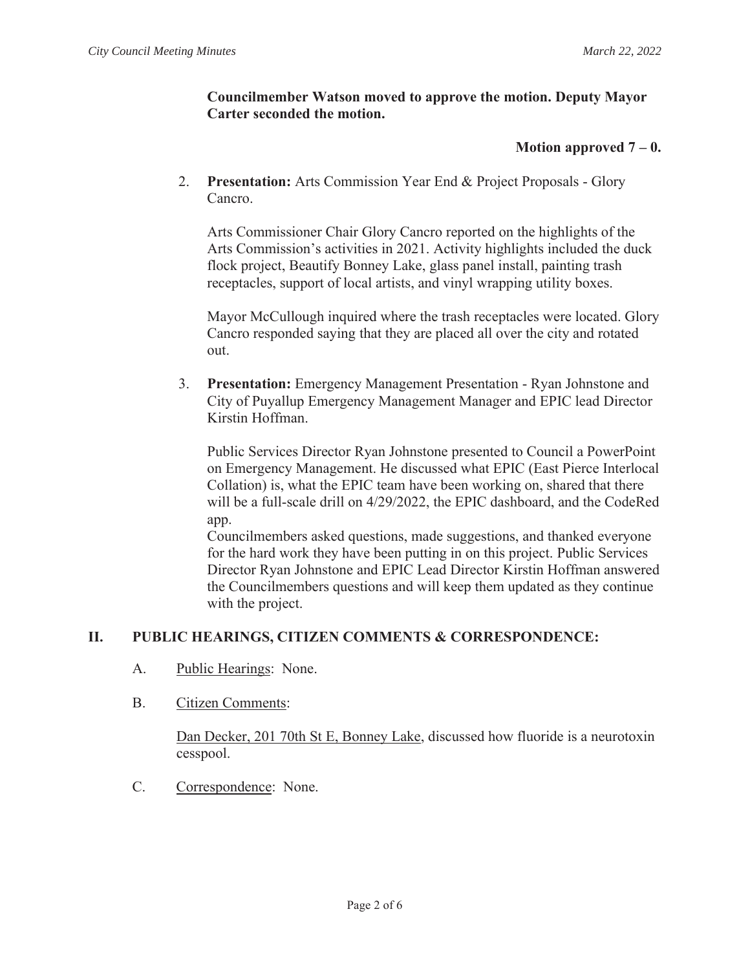### **Councilmember Watson moved to approve the motion. Deputy Mayor Carter seconded the motion.**

### **Motion approved**  $7 - 0$ **.**

2. **Presentation:** Arts Commission Year End & Project Proposals - Glory Cancro.

Arts Commissioner Chair Glory Cancro reported on the highlights of the Arts Commission's activities in 2021. Activity highlights included the duck flock project, Beautify Bonney Lake, glass panel install, painting trash receptacles, support of local artists, and vinyl wrapping utility boxes.

Mayor McCullough inquired where the trash receptacles were located. Glory Cancro responded saying that they are placed all over the city and rotated out.

3. **Presentation:** Emergency Management Presentation - Ryan Johnstone and City of Puyallup Emergency Management Manager and EPIC lead Director Kirstin Hoffman.

Public Services Director Ryan Johnstone presented to Council a PowerPoint on Emergency Management. He discussed what EPIC (East Pierce Interlocal Collation) is, what the EPIC team have been working on, shared that there will be a full-scale drill on 4/29/2022, the EPIC dashboard, and the CodeRed app.

Councilmembers asked questions, made suggestions, and thanked everyone for the hard work they have been putting in on this project. Public Services Director Ryan Johnstone and EPIC Lead Director Kirstin Hoffman answered the Councilmembers questions and will keep them updated as they continue with the project.

# **II. PUBLIC HEARINGS, CITIZEN COMMENTS & CORRESPONDENCE:**

- A. Public Hearings: None.
- B. Citizen Comments:

Dan Decker, 201 70th St E, Bonney Lake, discussed how fluoride is a neurotoxin cesspool.

C. Correspondence: None.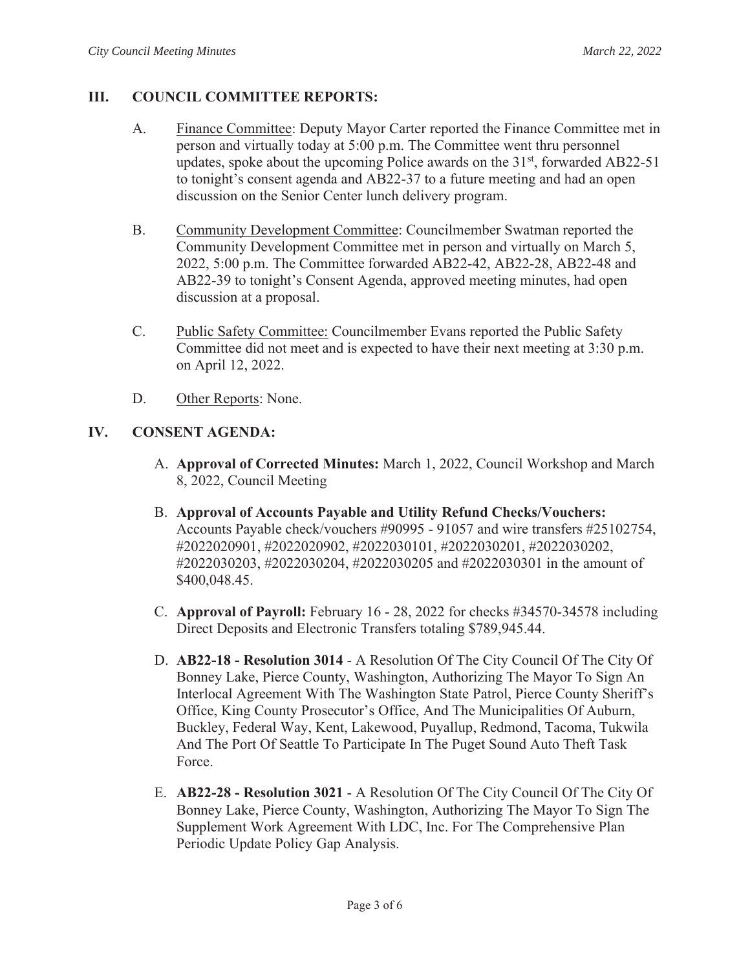### **III. COUNCIL COMMITTEE REPORTS:**

- A. Finance Committee: Deputy Mayor Carter reported the Finance Committee met in person and virtually today at 5:00 p.m. The Committee went thru personnel updates, spoke about the upcoming Police awards on the  $31<sup>st</sup>$ , forwarded AB22-51 to tonight's consent agenda and AB22-37 to a future meeting and had an open discussion on the Senior Center lunch delivery program.
- B. Community Development Committee: Councilmember Swatman reported the Community Development Committee met in person and virtually on March 5, 2022, 5:00 p.m. The Committee forwarded AB22-42, AB22-28, AB22-48 and AB22-39 to tonight's Consent Agenda, approved meeting minutes, had open discussion at a proposal.
- C. Public Safety Committee: Councilmember Evans reported the Public Safety Committee did not meet and is expected to have their next meeting at 3:30 p.m. on April 12, 2022.
- D. Other Reports: None.

### **IV. CONSENT AGENDA:**

- A. **Approval of Corrected Minutes:** March 1, 2022, Council Workshop and March 8, 2022, Council Meeting
- B. **Approval of Accounts Payable and Utility Refund Checks/Vouchers:**  Accounts Payable check/vouchers #90995 - 91057 and wire transfers #25102754, #2022020901, #2022020902, #2022030101, #2022030201, #2022030202, #2022030203, #2022030204, #2022030205 and #2022030301 in the amount of \$400,048.45.
- C. **Approval of Payroll:** February 16 28, 2022 for checks #34570-34578 including Direct Deposits and Electronic Transfers totaling \$789,945.44.
- D. **AB22-18 Resolution 3014** A Resolution Of The City Council Of The City Of Bonney Lake, Pierce County, Washington, Authorizing The Mayor To Sign An Interlocal Agreement With The Washington State Patrol, Pierce County Sheriff's Office, King County Prosecutor's Office, And The Municipalities Of Auburn, Buckley, Federal Way, Kent, Lakewood, Puyallup, Redmond, Tacoma, Tukwila And The Port Of Seattle To Participate In The Puget Sound Auto Theft Task Force.
- E. **AB22-28 Resolution 3021** A Resolution Of The City Council Of The City Of Bonney Lake, Pierce County, Washington, Authorizing The Mayor To Sign The Supplement Work Agreement With LDC, Inc. For The Comprehensive Plan Periodic Update Policy Gap Analysis.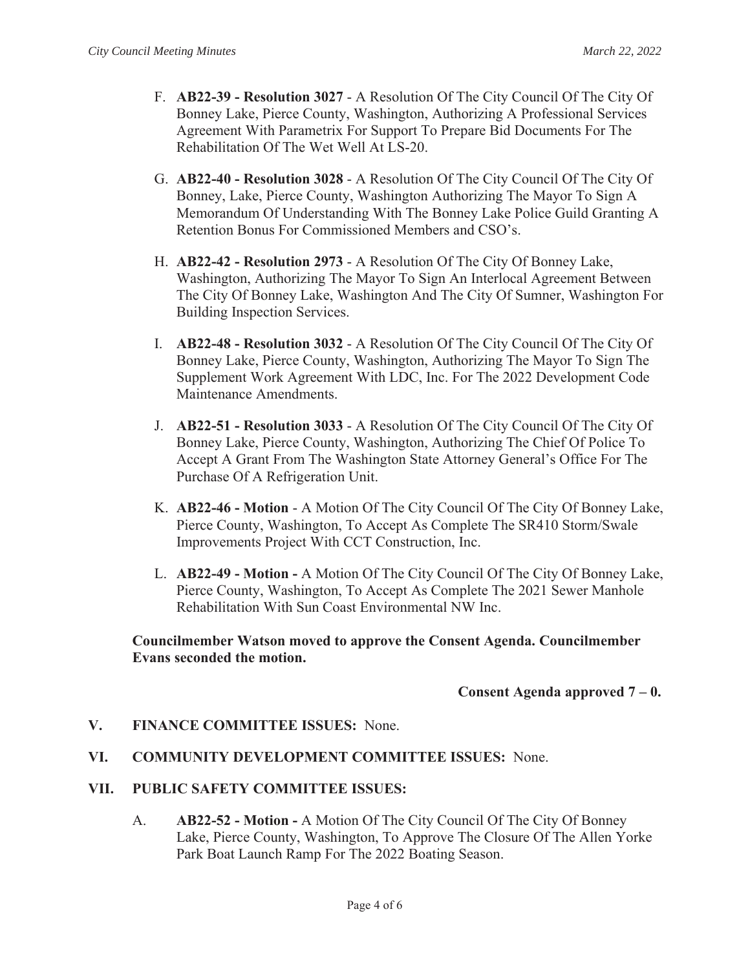- F. **AB22-39 Resolution 3027** A Resolution Of The City Council Of The City Of Bonney Lake, Pierce County, Washington, Authorizing A Professional Services Agreement With Parametrix For Support To Prepare Bid Documents For The Rehabilitation Of The Wet Well At LS-20.
- G. **AB22-40 Resolution 3028** A Resolution Of The City Council Of The City Of Bonney, Lake, Pierce County, Washington Authorizing The Mayor To Sign A Memorandum Of Understanding With The Bonney Lake Police Guild Granting A Retention Bonus For Commissioned Members and CSO's.
- H. **AB22-42 Resolution 2973**  A Resolution Of The City Of Bonney Lake, Washington, Authorizing The Mayor To Sign An Interlocal Agreement Between The City Of Bonney Lake, Washington And The City Of Sumner, Washington For Building Inspection Services.
- I. **AB22-48 Resolution 3032** A Resolution Of The City Council Of The City Of Bonney Lake, Pierce County, Washington, Authorizing The Mayor To Sign The Supplement Work Agreement With LDC, Inc. For The 2022 Development Code Maintenance Amendments.
- J. **AB22-51 Resolution 3033** A Resolution Of The City Council Of The City Of Bonney Lake, Pierce County, Washington, Authorizing The Chief Of Police To Accept A Grant From The Washington State Attorney General's Office For The Purchase Of A Refrigeration Unit.
- K. **AB22-46 Motion** A Motion Of The City Council Of The City Of Bonney Lake, Pierce County, Washington, To Accept As Complete The SR410 Storm/Swale Improvements Project With CCT Construction, Inc.
- L. **AB22-49 Motion -** A Motion Of The City Council Of The City Of Bonney Lake, Pierce County, Washington, To Accept As Complete The 2021 Sewer Manhole Rehabilitation With Sun Coast Environmental NW Inc.

**Councilmember Watson moved to approve the Consent Agenda. Councilmember Evans seconded the motion.**

#### **Consent Agenda approved 7 – 0.**

#### **V. FINANCE COMMITTEE ISSUES:** None.

**VI. COMMUNITY DEVELOPMENT COMMITTEE ISSUES:** None.

#### **VII. PUBLIC SAFETY COMMITTEE ISSUES:**

A. **AB22-52 - Motion -** A Motion Of The City Council Of The City Of Bonney Lake, Pierce County, Washington, To Approve The Closure Of The Allen Yorke Park Boat Launch Ramp For The 2022 Boating Season.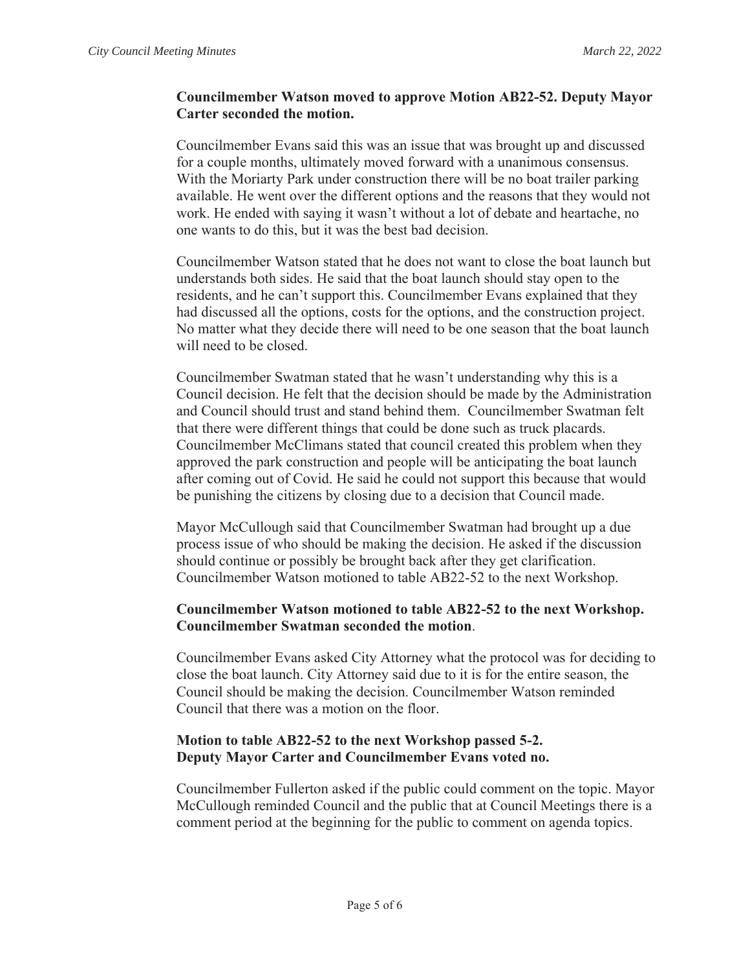### **Councilmember Watson moved to approve Motion AB22-52. Deputy Mayor Carter seconded the motion.**

Councilmember Evans said this was an issue that was brought up and discussed for a couple months, ultimately moved forward with a unanimous consensus. With the Moriarty Park under construction there will be no boat trailer parking available. He went over the different options and the reasons that they would not work. He ended with saying it wasn't without a lot of debate and heartache, no one wants to do this, but it was the best bad decision.

Councilmember Watson stated that he does not want to close the boat launch but understands both sides. He said that the boat launch should stay open to the residents, and he can't support this. Councilmember Evans explained that they had discussed all the options, costs for the options, and the construction project. No matter what they decide there will need to be one season that the boat launch will need to be closed.

Councilmember Swatman stated that he wasn't understanding why this is a Council decision. He felt that the decision should be made by the Administration and Council should trust and stand behind them. Councilmember Swatman felt that there were different things that could be done such as truck placards. Councilmember McClimans stated that council created this problem when they approved the park construction and people will be anticipating the boat launch after coming out of Covid. He said he could not support this because that would be punishing the citizens by closing due to a decision that Council made.

Mayor McCullough said that Councilmember Swatman had brought up a due process issue of who should be making the decision. He asked if the discussion should continue or possibly be brought back after they get clarification. Councilmember Watson motioned to table AB22-52 to the next Workshop.

### **Councilmember Watson motioned to table AB22-52 to the next Workshop. Councilmember Swatman seconded the motion**.

Councilmember Evans asked City Attorney what the protocol was for deciding to close the boat launch. City Attorney said due to it is for the entire season, the Council should be making the decision. Councilmember Watson reminded Council that there was a motion on the floor.

### **Motion to table AB22-52 to the next Workshop passed 5-2. Deputy Mayor Carter and Councilmember Evans voted no.**

Councilmember Fullerton asked if the public could comment on the topic. Mayor McCullough reminded Council and the public that at Council Meetings there is a comment period at the beginning for the public to comment on agenda topics.